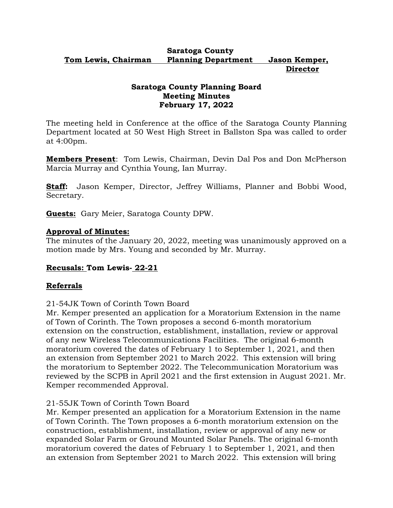#### **Saratoga County Tom Lewis, Chairman Planning Department Jason Kemper, Director**

## **Saratoga County Planning Board Meeting Minutes February 17, 2022**

The meeting held in Conference at the office of the Saratoga County Planning Department located at 50 West High Street in Ballston Spa was called to order at 4:00pm.

**Members Present**: Tom Lewis, Chairman, Devin Dal Pos and Don McPherson Marcia Murray and Cynthia Young, Ian Murray.

**Staff:** Jason Kemper, Director, Jeffrey Williams, Planner and Bobbi Wood, Secretary.

**Guests:** Gary Meier, Saratoga County DPW.

## **Approval of Minutes:**

The minutes of the January 20, 2022, meeting was unanimously approved on a motion made by Mrs. Young and seconded by Mr. Murray.

## **Recusals: Tom Lewis- 22-21**

# **Referrals**

21-54JK Town of Corinth Town Board

Mr. Kemper presented an application for a Moratorium Extension in the name of Town of Corinth. The Town proposes a second 6-month moratorium extension on the construction, establishment, installation, review or approval of any new Wireless Telecommunications Facilities. The original 6-month moratorium covered the dates of February 1 to September 1, 2021, and then an extension from September 2021 to March 2022. This extension will bring the moratorium to September 2022. The Telecommunication Moratorium was reviewed by the SCPB in April 2021 and the first extension in August 2021. Mr. Kemper recommended Approval.

## 21-55JK Town of Corinth Town Board

Mr. Kemper presented an application for a Moratorium Extension in the name of Town Corinth. The Town proposes a 6-month moratorium extension on the construction, establishment, installation, review or approval of any new or expanded Solar Farm or Ground Mounted Solar Panels. The original 6-month moratorium covered the dates of February 1 to September 1, 2021, and then an extension from September 2021 to March 2022. This extension will bring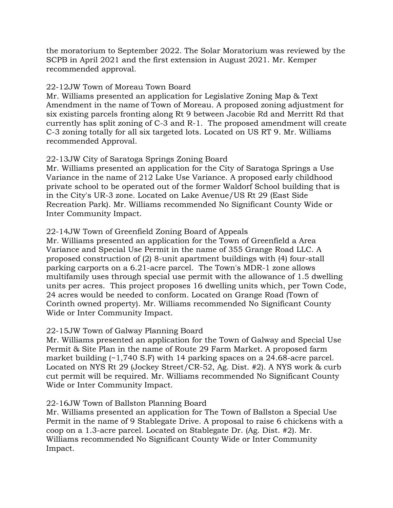the moratorium to September 2022. The Solar Moratorium was reviewed by the SCPB in April 2021 and the first extension in August 2021. Mr. Kemper recommended approval.

## 22-12JW Town of Moreau Town Board

Mr. Williams presented an application for Legislative Zoning Map & Text Amendment in the name of Town of Moreau. A proposed zoning adjustment for six existing parcels fronting along Rt 9 between Jacobie Rd and Merritt Rd that currently has split zoning of C-3 and R-1. The proposed amendment will create C-3 zoning totally for all six targeted lots. Located on US RT 9. Mr. Williams recommended Approval.

## 22-13JW City of Saratoga Springs Zoning Board

Mr. Williams presented an application for the City of Saratoga Springs a Use Variance in the name of 212 Lake Use Variance. A proposed early childhood private school to be operated out of the former Waldorf School building that is in the City's UR-3 zone. Located on Lake Avenue/US Rt 29 (East Side Recreation Park). Mr. Williams recommended No Significant County Wide or Inter Community Impact.

# 22-14JW Town of Greenfield Zoning Board of Appeals

Mr. Williams presented an application for the Town of Greenfield a Area Variance and Special Use Permit in the name of 355 Grange Road LLC. A proposed construction of (2) 8-unit apartment buildings with (4) four-stall parking carports on a 6.21-acre parcel. The Town's MDR-1 zone allows multifamily uses through special use permit with the allowance of 1.5 dwelling units per acres. This project proposes 16 dwelling units which, per Town Code, 24 acres would be needed to conform. Located on Grange Road (Town of Corinth owned property). Mr. Williams recommended No Significant County Wide or Inter Community Impact.

## 22-15JW Town of Galway Planning Board

Mr. Williams presented an application for the Town of Galway and Special Use Permit & Site Plan in the name of Route 29 Farm Market. A proposed farm market building  $(-1,740 \text{ S.F})$  with 14 parking spaces on a 24.68-acre parcel. Located on NYS Rt 29 (Jockey Street/CR-52, Ag. Dist. #2). A NYS work & curb cut permit will be required. Mr. Williams recommended No Significant County Wide or Inter Community Impact.

## 22-16JW Town of Ballston Planning Board

Mr. Williams presented an application for The Town of Ballston a Special Use Permit in the name of 9 Stablegate Drive. A proposal to raise 6 chickens with a coop on a 1.3-acre parcel. Located on Stablegate Dr. (Ag. Dist. #2). Mr. Williams recommended No Significant County Wide or Inter Community Impact.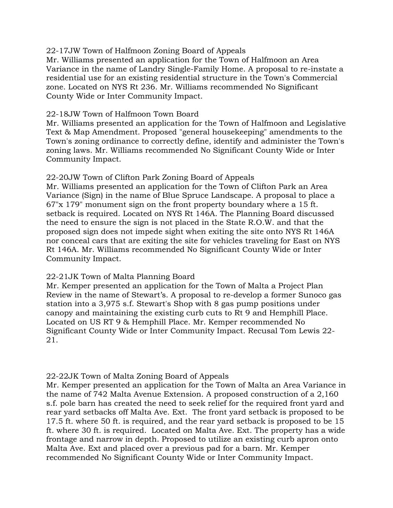### 22-17JW Town of Halfmoon Zoning Board of Appeals

Mr. Williams presented an application for the Town of Halfmoon an Area Variance in the name of Landry Single-Family Home. A proposal to re-instate a residential use for an existing residential structure in the Town's Commercial zone. Located on NYS Rt 236. Mr. Williams recommended No Significant County Wide or Inter Community Impact.

### 22-18JW Town of Halfmoon Town Board

Mr. Williams presented an application for the Town of Halfmoon and Legislative Text & Map Amendment. Proposed "general housekeeping" amendments to the Town's zoning ordinance to correctly define, identify and administer the Town's zoning laws. Mr. Williams recommended No Significant County Wide or Inter Community Impact.

## 22-20JW Town of Clifton Park Zoning Board of Appeals

Mr. Williams presented an application for the Town of Clifton Park an Area Variance (Sign) in the name of Blue Spruce Landscape. A proposal to place a 67"x 179" monument sign on the front property boundary where a 15 ft. setback is required. Located on NYS Rt 146A. The Planning Board discussed the need to ensure the sign is not placed in the State R.O.W. and that the proposed sign does not impede sight when exiting the site onto NYS Rt 146A nor conceal cars that are exiting the site for vehicles traveling for East on NYS Rt 146A. Mr. Williams recommended No Significant County Wide or Inter Community Impact.

## 22-21JK Town of Malta Planning Board

Mr. Kemper presented an application for the Town of Malta a Project Plan Review in the name of Stewart's. A proposal to re-develop a former Sunoco gas station into a 3,975 s.f. Stewart's Shop with 8 gas pump positions under canopy and maintaining the existing curb cuts to Rt 9 and Hemphill Place. Located on US RT 9 & Hemphill Place. Mr. Kemper recommended No Significant County Wide or Inter Community Impact. Recusal Tom Lewis 22- 21.

## 22-22JK Town of Malta Zoning Board of Appeals

Mr. Kemper presented an application for the Town of Malta an Area Variance in the name of 742 Malta Avenue Extension. A proposed construction of a 2,160 s.f. pole barn has created the need to seek relief for the required front yard and rear yard setbacks off Malta Ave. Ext. The front yard setback is proposed to be 17.5 ft. where 50 ft. is required, and the rear yard setback is proposed to be 15 ft. where 30 ft. is required. Located on Malta Ave. Ext. The property has a wide frontage and narrow in depth. Proposed to utilize an existing curb apron onto Malta Ave. Ext and placed over a previous pad for a barn. Mr. Kemper recommended No Significant County Wide or Inter Community Impact.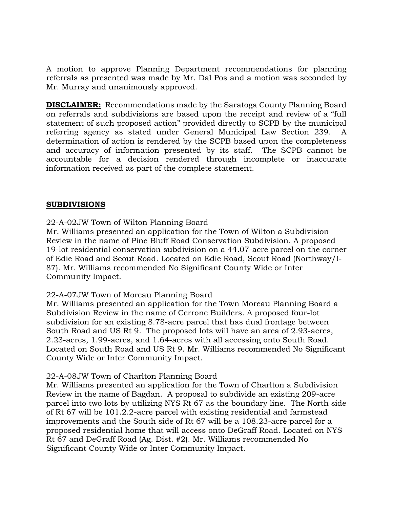A motion to approve Planning Department recommendations for planning referrals as presented was made by Mr. Dal Pos and a motion was seconded by Mr. Murray and unanimously approved.

**DISCLAIMER:** Recommendations made by the Saratoga County Planning Board on referrals and subdivisions are based upon the receipt and review of a "full statement of such proposed action" provided directly to SCPB by the municipal referring agency as stated under General Municipal Law Section 239. A determination of action is rendered by the SCPB based upon the completeness and accuracy of information presented by its staff. The SCPB cannot be accountable for a decision rendered through incomplete or inaccurate information received as part of the complete statement.

## **SUBDIVISIONS**

22-A-02JW Town of Wilton Planning Board

Mr. Williams presented an application for the Town of Wilton a Subdivision Review in the name of Pine Bluff Road Conservation Subdivision. A proposed 19-lot residential conservation subdivision on a 44.07-acre parcel on the corner of Edie Road and Scout Road. Located on Edie Road, Scout Road (Northway/I-87). Mr. Williams recommended No Significant County Wide or Inter Community Impact.

## 22-A-07JW Town of Moreau Planning Board

Mr. Williams presented an application for the Town Moreau Planning Board a Subdivision Review in the name of Cerrone Builders. A proposed four-lot subdivision for an existing 8.78-acre parcel that has dual frontage between South Road and US Rt 9. The proposed lots will have an area of 2.93-acres, 2.23-acres, 1.99-acres, and 1.64-acres with all accessing onto South Road. Located on South Road and US Rt 9. Mr. Williams recommended No Significant County Wide or Inter Community Impact.

## 22-A-08JW Town of Charlton Planning Board

Mr. Williams presented an application for the Town of Charlton a Subdivision Review in the name of Bagdan. A proposal to subdivide an existing 209-acre parcel into two lots by utilizing NYS Rt 67 as the boundary line. The North side of Rt 67 will be 101.2.2-acre parcel with existing residential and farmstead improvements and the South side of Rt 67 will be a 108.23-acre parcel for a proposed residential home that will access onto DeGraff Road. Located on NYS Rt 67 and DeGraff Road (Ag. Dist. #2). Mr. Williams recommended No Significant County Wide or Inter Community Impact.